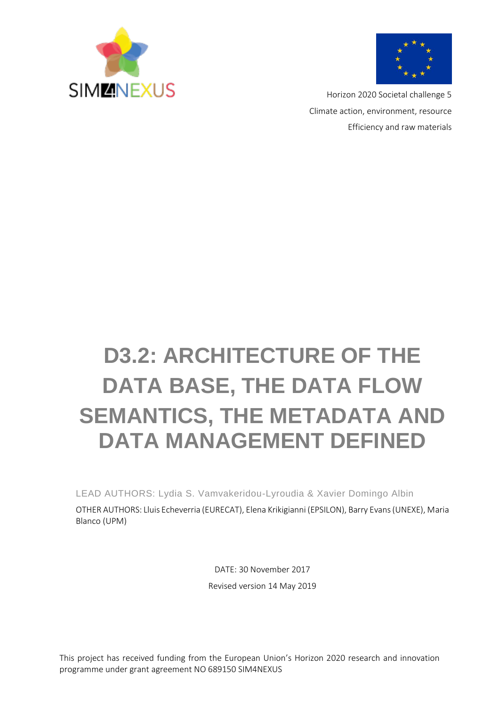



Horizon 2020 Societal challenge 5 Climate action, environment, resource Efficiency and raw materials

# **D3.2: ARCHITECTURE OF THE DATA BASE, THE DATA FLOW SEMANTICS, THE METADATA AND DATA MANAGEMENT DEFINED**

LEAD AUTHORS: Lydia S. Vamvakeridou-Lyroudia & Xavier Domingo Albin

OTHER AUTHORS: Lluis Echeverria (EURECAT), Elena Krikigianni (EPSILON), Barry Evans (UNEXE), Maria Blanco (UPM)

> DATE: 30 November 2017 Revised version 14 May 2019

This project has received funding from the European Union's Horizon 2020 research and innovation programme under grant agreement NO 689150 SIM4NEXUS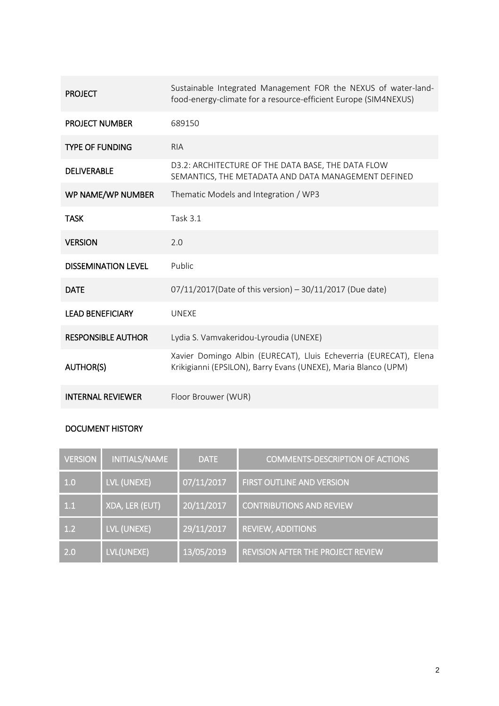| <b>PROJECT</b>             | Sustainable Integrated Management FOR the NEXUS of water-land-<br>food-energy-climate for a resource-efficient Europe (SIM4NEXUS)   |
|----------------------------|-------------------------------------------------------------------------------------------------------------------------------------|
| <b>PROJECT NUMBER</b>      | 689150                                                                                                                              |
| <b>TYPE OF FUNDING</b>     | <b>RIA</b>                                                                                                                          |
| <b>DELIVERABLE</b>         | D3.2: ARCHITECTURE OF THE DATA BASE, THE DATA FLOW<br>SEMANTICS, THE METADATA AND DATA MANAGEMENT DEFINED                           |
| WP NAME/WP NUMBER          | Thematic Models and Integration / WP3                                                                                               |
| <b>TASK</b>                | <b>Task 3.1</b>                                                                                                                     |
| <b>VERSION</b>             | 2.0                                                                                                                                 |
| <b>DISSEMINATION LEVEL</b> | Public                                                                                                                              |
| <b>DATE</b>                | 07/11/2017(Date of this version) - 30/11/2017 (Due date)                                                                            |
| <b>LEAD BENEFICIARY</b>    | <b>UNEXE</b>                                                                                                                        |
| <b>RESPONSIBLE AUTHOR</b>  | Lydia S. Vamvakeridou-Lyroudia (UNEXE)                                                                                              |
| <b>AUTHOR(S)</b>           | Xavier Domingo Albin (EURECAT), Lluis Echeverria (EURECAT), Elena<br>Krikigianni (EPSILON), Barry Evans (UNEXE), Maria Blanco (UPM) |
| <b>INTERNAL REVIEWER</b>   | Floor Brouwer (WUR)                                                                                                                 |

### DOCUMENT HISTORY

| <b>VERSION</b> | <b>INITIALS/NAME</b> | <b>DATE</b> | <b>COMMENTS-DESCRIPTION OF ACTIONS</b>   |
|----------------|----------------------|-------------|------------------------------------------|
| 1.0            | LVL (UNEXE)          | 07/11/2017  | <b>FIRST OUTLINE AND VERSION</b>         |
| 1.1            | XDA, LER (EUT)       | 20/11/2017  | <b>CONTRIBUTIONS AND REVIEW</b>          |
| 1.2            | LVL (UNEXE)          | 29/11/2017  | <b>REVIEW, ADDITIONS</b>                 |
| 2.0            | LVL(UNEXE)           | 13/05/2019  | <b>REVISION AFTER THE PROJECT REVIEW</b> |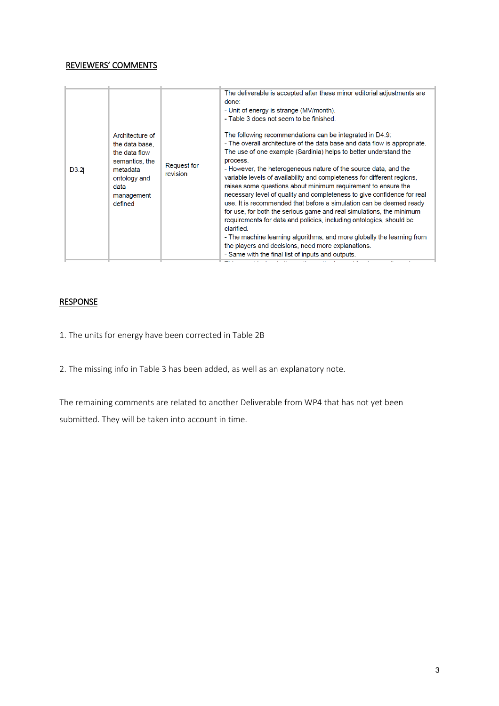#### REVIEWERS' COMMENTS

| D3.2 | Architecture of<br>the data base.<br>the data flow<br>semantics, the<br>metadata<br>ontology and<br>data<br>management<br>defined | Request for<br>revision | The deliverable is accepted after these minor editorial adjustments are<br>done:<br>- Unit of energy is strange (MV/month).<br>- Table 3 does not seem to be finished.<br>The following recommendations can be integrated in D4.9:<br>- The overall architecture of the data base and data flow is appropriate.<br>The use of one example (Sardinia) helps to better understand the<br>process.<br>- However, the heterogeneous nature of the source data, and the<br>variable levels of availability and completeness for different regions,<br>raises some questions about minimum requirement to ensure the<br>necessary level of quality and completeness to give confidence for real<br>use. It is recommended that before a simulation can be deemed ready<br>for use, for both the serious game and real simulations, the minimum<br>requirements for data and policies, including ontologies, should be<br>clarified.<br>- The machine learning algorithms, and more globally the learning from<br>the players and decisions, need more explanations.<br>- Same with the final list of inputs and outputs.<br>÷ |
|------|-----------------------------------------------------------------------------------------------------------------------------------|-------------------------|-------------------------------------------------------------------------------------------------------------------------------------------------------------------------------------------------------------------------------------------------------------------------------------------------------------------------------------------------------------------------------------------------------------------------------------------------------------------------------------------------------------------------------------------------------------------------------------------------------------------------------------------------------------------------------------------------------------------------------------------------------------------------------------------------------------------------------------------------------------------------------------------------------------------------------------------------------------------------------------------------------------------------------------------------------------------------------------------------------------------------|
|      |                                                                                                                                   |                         |                                                                                                                                                                                                                                                                                                                                                                                                                                                                                                                                                                                                                                                                                                                                                                                                                                                                                                                                                                                                                                                                                                                         |

#### **RESPONSE**

1. The units for energy have been corrected in Table 2B

2. The missing info in Table 3 has been added, as well as an explanatory note.

The remaining comments are related to another Deliverable from WP4 that has not yet been submitted. They will be taken into account in time.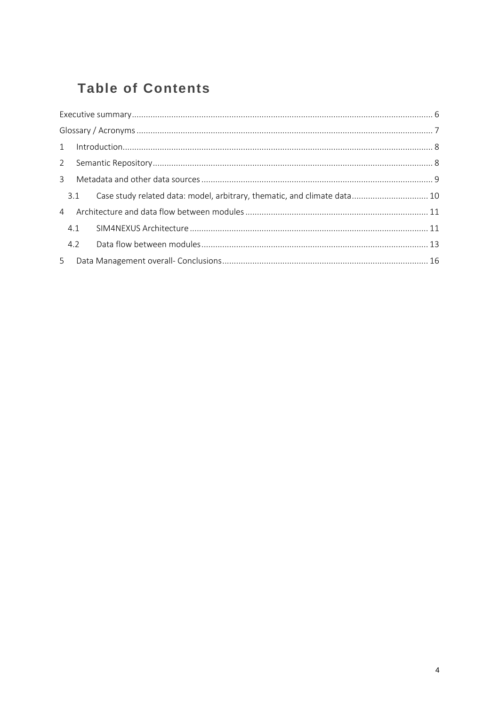# **Table of Contents**

|     | 3.1 Case study related data: model, arbitrary, thematic, and climate data 10 |  |
|-----|------------------------------------------------------------------------------|--|
|     |                                                                              |  |
|     |                                                                              |  |
| 4.2 |                                                                              |  |
|     |                                                                              |  |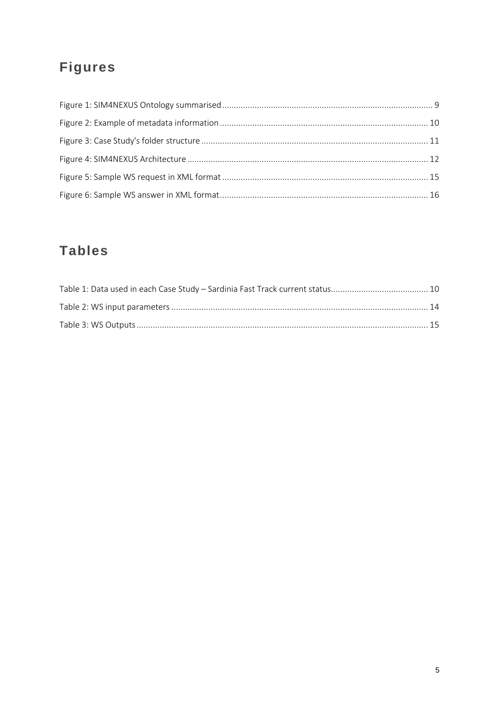# **Figures**

# **Tables**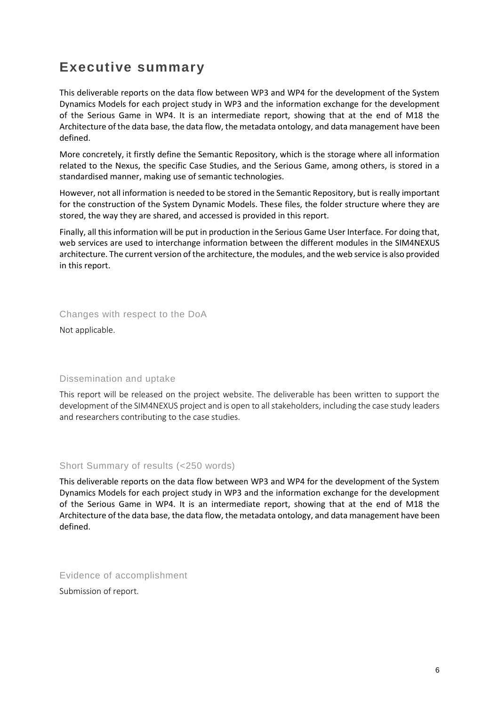### <span id="page-5-0"></span>**Executive summary**

This deliverable reports on the data flow between WP3 and WP4 for the development of the System Dynamics Models for each project study in WP3 and the information exchange for the development of the Serious Game in WP4. It is an intermediate report, showing that at the end of M18 the Architecture of the data base, the data flow, the metadata ontology, and data management have been defined.

More concretely, it firstly define the Semantic Repository, which is the storage where all information related to the Nexus, the specific Case Studies, and the Serious Game, among others, is stored in a standardised manner, making use of semantic technologies.

However, not all information is needed to be stored in the Semantic Repository, but is really important for the construction of the System Dynamic Models. These files, the folder structure where they are stored, the way they are shared, and accessed is provided in this report.

Finally, all this information will be put in production in the Serious Game User Interface. For doing that, web services are used to interchange information between the different modules in the SIM4NEXUS architecture. The current version of the architecture, the modules, and the web service is also provided in this report.

Changes with respect to the DoA

Not applicable.

#### Dissemination and uptake

This report will be released on the project website. The deliverable has been written to support the development of the SIM4NEXUS project and is open to all stakeholders, including the case study leaders and researchers contributing to the case studies.

#### Short Summary of results (<250 words)

This deliverable reports on the data flow between WP3 and WP4 for the development of the System Dynamics Models for each project study in WP3 and the information exchange for the development of the Serious Game in WP4. It is an intermediate report, showing that at the end of M18 the Architecture of the data base, the data flow, the metadata ontology, and data management have been defined.

Evidence of accomplishment

Submission of report.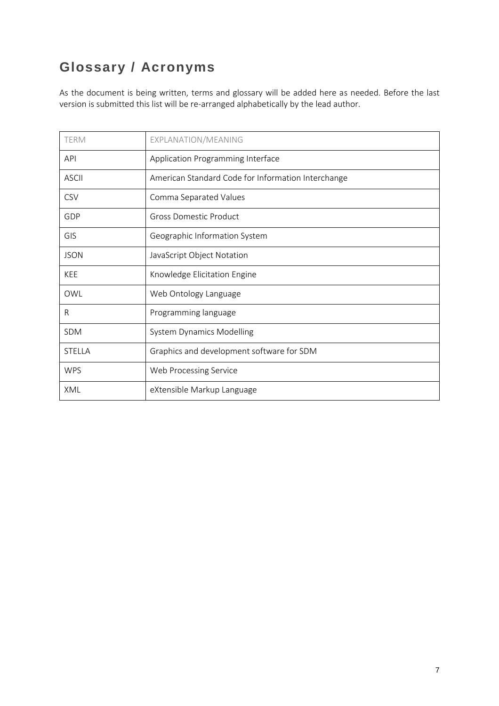### <span id="page-6-0"></span>**Glossary / Acronyms**

As the document is being written, terms and glossary will be added here as needed. Before the last version is submitted this list will be re-arranged alphabetically by the lead author.

| <b>TERM</b>   | EXPLANATION/MEANING                                |
|---------------|----------------------------------------------------|
| <b>API</b>    | Application Programming Interface                  |
| <b>ASCII</b>  | American Standard Code for Information Interchange |
| <b>CSV</b>    | Comma Separated Values                             |
| GDP           | <b>Gross Domestic Product</b>                      |
| GIS           | Geographic Information System                      |
| <b>JSON</b>   | JavaScript Object Notation                         |
| <b>KEE</b>    | Knowledge Elicitation Engine                       |
| OWL           | Web Ontology Language                              |
| R             | Programming language                               |
| SDM           | <b>System Dynamics Modelling</b>                   |
| <b>STELLA</b> | Graphics and development software for SDM          |
| <b>WPS</b>    | Web Processing Service                             |
| XML           | eXtensible Markup Language                         |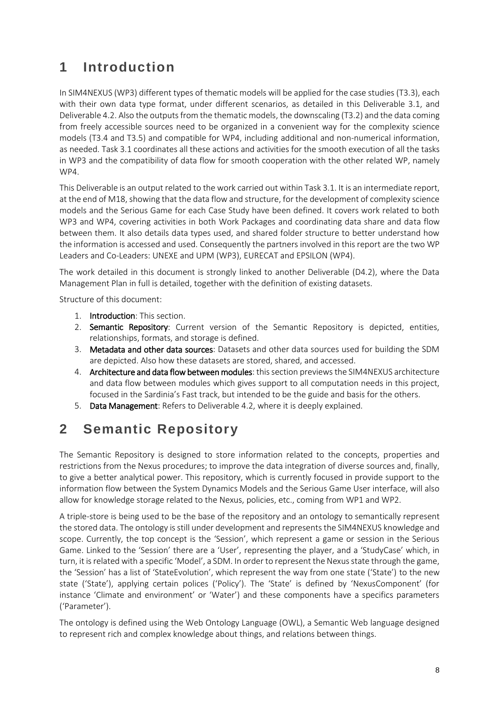## <span id="page-7-0"></span>**1 Introduction**

In SIM4NEXUS (WP3) different types of thematic models will be applied for the case studies (T3.3), each with their own data type format, under different scenarios, as detailed in this Deliverable 3.1, and Deliverable 4.2. Also the outputs from the thematic models, the downscaling (T3.2) and the data coming from freely accessible sources need to be organized in a convenient way for the complexity science models (T3.4 and T3.5) and compatible for WP4, including additional and non-numerical information, as needed. Task 3.1 coordinates all these actions and activities for the smooth execution of all the tasks in WP3 and the compatibility of data flow for smooth cooperation with the other related WP, namely WP4.

This Deliverable is an output related to the work carried out within Task 3.1. It is an intermediate report, at the end of M18, showing that the data flow and structure, for the development of complexity science models and the Serious Game for each Case Study have been defined. It covers work related to both WP3 and WP4, covering activities in both Work Packages and coordinating data share and data flow between them. It also details data types used, and shared folder structure to better understand how the information is accessed and used. Consequently the partners involved in this report are the two WP Leaders and Co-Leaders: UNEXE and UPM (WP3), EURECAT and EPSILON (WP4).

The work detailed in this document is strongly linked to another Deliverable (D4.2), where the Data Management Plan in full is detailed, together with the definition of existing datasets.

Structure of this document:

- 1. Introduction: This section.
- 2. **Semantic Repository:** Current version of the Semantic Repository is depicted, entities, relationships, formats, and storage is defined.
- 3. Metadata and other data sources: Datasets and other data sources used for building the SDM are depicted. Also how these datasets are stored, shared, and accessed.
- 4. Architecture and data flow between modules: this section previews the SIM4NEXUS architecture and data flow between modules which gives support to all computation needs in this project, focused in the Sardinia's Fast track, but intended to be the guide and basis for the others.
- 5. Data Management: Refers to Deliverable 4.2, where it is deeply explained.

### <span id="page-7-1"></span>**2 Semantic Repository**

The Semantic Repository is designed to store information related to the concepts, properties and restrictions from the Nexus procedures; to improve the data integration of diverse sources and, finally, to give a better analytical power. This repository, which is currently focused in provide support to the information flow between the System Dynamics Models and the Serious Game User interface, will also allow for knowledge storage related to the Nexus, policies, etc., coming from WP1 and WP2.

A triple-store is being used to be the base of the repository and an ontology to semantically represent the stored data. The ontology is still under development and represents the SIM4NEXUS knowledge and scope. Currently, the top concept is the 'Session', which represent a game or session in the Serious Game. Linked to the 'Session' there are a 'User', representing the player, and a 'StudyCase' which, in turn, it is related with a specific 'Model', a SDM. In order to represent the Nexus state through the game, the 'Session' has a list of 'StateEvolution', which represent the way from one state ('State') to the new state ('State'), applying certain polices ('Policy'). The 'State' is defined by 'NexusComponent' (for instance 'Climate and environment' or 'Water') and these components have a specifics parameters ('Parameter').

The ontology is defined using the Web Ontology Language (OWL), a Semantic Web language designed to represent rich and complex knowledge about things, and relations between things.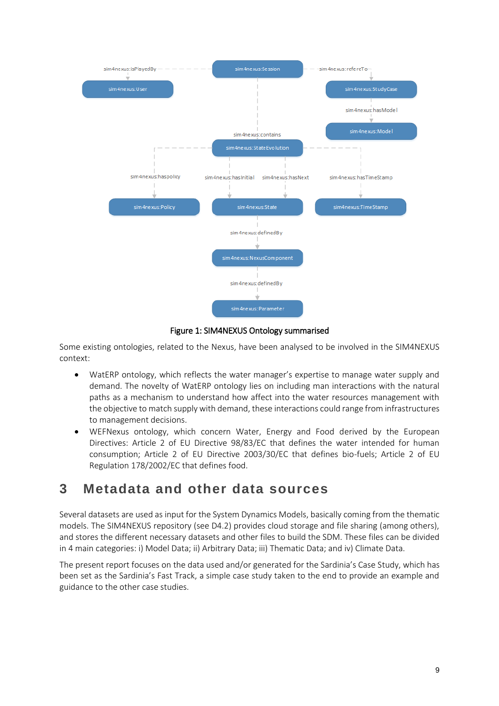

Figure 1: SIM4NEXUS Ontology summarised

Some existing ontologies, related to the Nexus, have been analysed to be involved in the SIM4NEXUS context:

- WatERP ontology, which reflects the water manager's expertise to manage water supply and demand. The novelty of WatERP ontology lies on including man interactions with the natural paths as a mechanism to understand how affect into the water resources management with the objective to match supply with demand, these interactions could range from infrastructures to management decisions.
- WEFNexus ontology, which concern Water, Energy and Food derived by the European Directives: Article 2 of EU Directive 98/83/EC that defines the water intended for human consumption; Article 2 of EU Directive 2003/30/EC that defines bio-fuels; Article 2 of EU Regulation 178/2002/EC that defines food.

### <span id="page-8-0"></span>**3 Metadata and other data sources**

Several datasets are used as input for the System Dynamics Models, basically coming from the thematic models. The SIM4NEXUS repository (see D4.2) provides cloud storage and file sharing (among others), and stores the different necessary datasets and other files to build the SDM. These files can be divided in 4 main categories: i) Model Data; ii) Arbitrary Data; iii) Thematic Data; and iv) Climate Data.

The present report focuses on the data used and/or generated for the Sardinia's Case Study, which has been set as the Sardinia's Fast Track, a simple case study taken to the end to provide an example and guidance to the other case studies.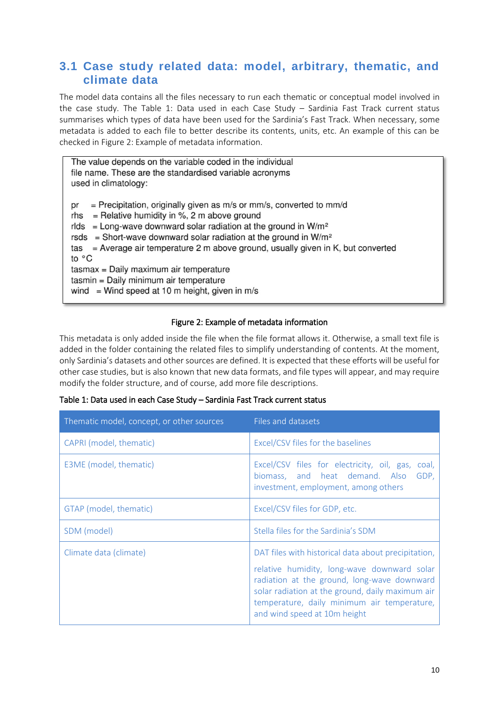### <span id="page-9-0"></span>**3.1 Case study related data: model, arbitrary, thematic, and climate data**

The model data contains all the files necessary to run each thematic or conceptual model involved in the case study. The [Table 1: Data used in each Case Study](#page-9-1) – Sardinia Fast Track current status summarises which types of data have been used for the Sardinia's Fast Track. When necessary, some metadata is added to each file to better describe its contents, units, etc. An example of this can be checked i[n Figure 2: Example of metadata information.](#page-9-2)

| The value depends on the variable coded in the individual<br>file name. These are the standardised variable acronyms<br>used in climatology:                                                                                                                                                                                                                                                                                                                                                                               |
|----------------------------------------------------------------------------------------------------------------------------------------------------------------------------------------------------------------------------------------------------------------------------------------------------------------------------------------------------------------------------------------------------------------------------------------------------------------------------------------------------------------------------|
| = Precipitation, originally given as $m/s$ or $mm/s$ , converted to $mm/d$<br>pr<br>$=$ Relative humidity in %, 2 m above ground<br>rhs<br>rlds = Long-wave downward solar radiation at the ground in $W/m^2$<br>rsds = Short-wave downward solar radiation at the ground in $W/m^2$<br>tas = Average air temperature 2 m above ground, usually given in K, but converted<br>to °C<br>tasmax = Daily maximum air temperature<br>tasmin = Daily minimum air temperature<br>wind = Wind speed at 10 m height, given in $m/s$ |

#### Figure 2: Example of metadata information

<span id="page-9-2"></span>This metadata is only added inside the file when the file format allows it. Otherwise, a small text file is added in the folder containing the related files to simplify understanding of contents. At the moment, only Sardinia's datasets and other sources are defined. It is expected that these efforts will be useful for other case studies, but is also known that new data formats, and file types will appear, and may require modify the folder structure, and of course, add more file descriptions.

| Thematic model, concept, or other sources | Files and datasets                                                                                                                                                                                                                                                                   |  |
|-------------------------------------------|--------------------------------------------------------------------------------------------------------------------------------------------------------------------------------------------------------------------------------------------------------------------------------------|--|
| CAPRI (model, thematic)                   | Excel/CSV files for the baselines                                                                                                                                                                                                                                                    |  |
| E3ME (model, thematic)                    | Excel/CSV files for electricity, oil, gas, coal,<br>biomass, and heat demand. Also<br>GDP.<br>investment, employment, among others                                                                                                                                                   |  |
| GTAP (model, thematic)                    | Excel/CSV files for GDP, etc.                                                                                                                                                                                                                                                        |  |
| SDM (model)                               | Stella files for the Sardinia's SDM                                                                                                                                                                                                                                                  |  |
| Climate data (climate)                    | DAT files with historical data about precipitation,<br>relative humidity, long-wave downward solar<br>radiation at the ground, long-wave downward<br>solar radiation at the ground, daily maximum air<br>temperature, daily minimum air temperature,<br>and wind speed at 10m height |  |

<span id="page-9-1"></span>

|  |  | Table 1: Data used in each Case Study - Sardinia Fast Track current status |
|--|--|----------------------------------------------------------------------------|
|--|--|----------------------------------------------------------------------------|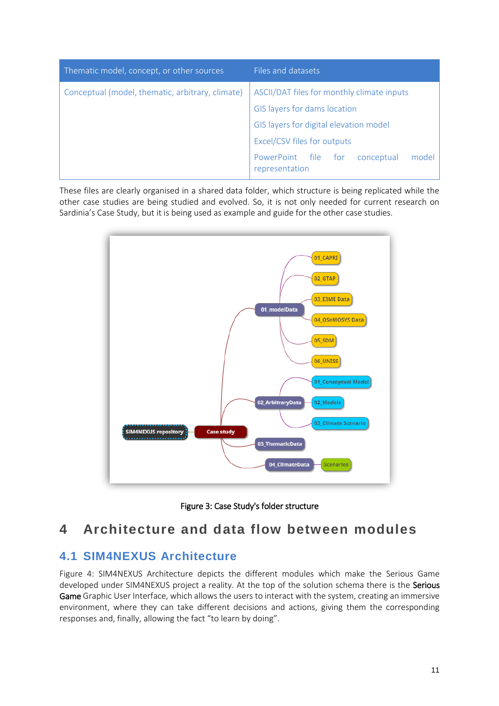| Thematic model, concept, or other sources        | Files and datasets                                           |  |  |
|--------------------------------------------------|--------------------------------------------------------------|--|--|
| Conceptual (model, thematic, arbitrary, climate) | ASCII/DAT files for monthly climate inputs                   |  |  |
|                                                  | GIS layers for dams location                                 |  |  |
|                                                  | GIS layers for digital elevation model                       |  |  |
|                                                  | Excel/CSV files for outputs                                  |  |  |
|                                                  | PowerPoint file for<br>conceptual<br>model<br>representation |  |  |

These files are clearly organised in a shared data folder, which structure is being replicated while the other case studies are being studied and evolved. So, it is not only needed for current research on Sardinia's Case Study, but it is being used as example and guide for the other case studies.



Figure 3: Case Study's folder structure

### <span id="page-10-0"></span>**4 Architecture and data flow between modules**

### <span id="page-10-1"></span>**4.1 SIM4NEXUS Architecture**

[Figure 4: SIM4NEXUS Architecture](#page-11-0) depicts the different modules which make the Serious Game developed under SIM4NEXUS project a reality. At the top of the solution schema there is the Serious Game Graphic User Interface, which allows the users to interact with the system, creating an immersive environment, where they can take different decisions and actions, giving them the corresponding responses and, finally, allowing the fact "to learn by doing".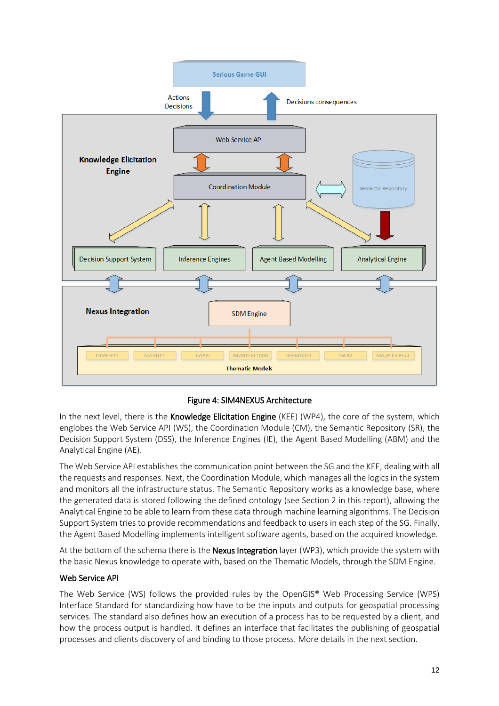

Figure 4: SIM4NEXUS Architecture

<span id="page-11-0"></span>In the next level, there is the Knowledge Elicitation Engine (KEE) (WP4), the core of the system, which englobes the Web Service API (WS), the Coordination Module (CM), the Semantic Repository (SR), the Decision Support System (DSS), the Inference Engines (IE), the Agent Based Modelling (ABM) and the Analytical Engine (AE).

The Web Service API establishes the communication point between the SG and the KEE, dealing with all the requests and responses. Next, the Coordination Module, which manages all the logics in the system and monitors all the infrastructure status. The Semantic Repository works as a knowledge base, where the generated data is stored following the defined ontology (see Section 2 in this report), allowing the Analytical Engine to be able to learn from these data through machine learning algorithms. The Decision Support System tries to provide recommendations and feedback to users in each step of the SG. Finally, the Agent Based Modelling implements intelligent software agents, based on the acquired knowledge.

At the bottom of the schema there is the **Nexus Integration** layer (WP3), which provide the system with the basic Nexus knowledge to operate with, based on the Thematic Models, through the SDM Engine.

#### Web Service API

The Web Service (WS) follows the provided rules by the OpenGIS® Web Processing Service (WPS) Interface Standard for standardizing how have to be the inputs and outputs for geospatial processing services. The standard also defines how an execution of a process has to be requested by a client, and how the process output is handled. It defines an interface that facilitates the publishing of geospatial processes and clients discovery of and binding to those process. More details in the next section.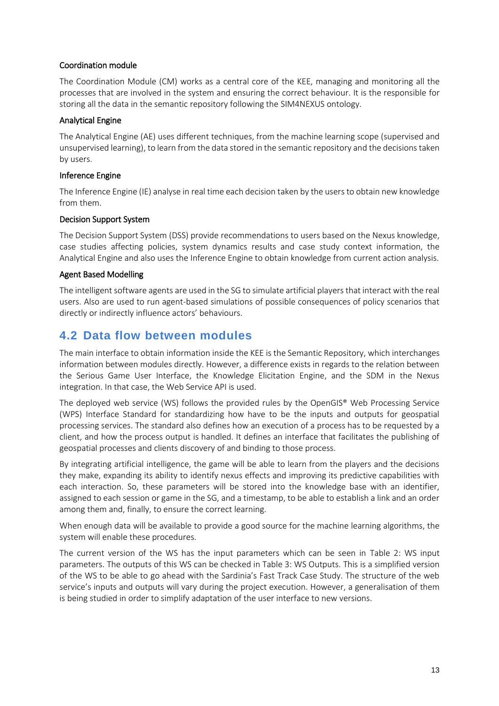#### Coordination module

The Coordination Module (CM) works as a central core of the KEE, managing and monitoring all the processes that are involved in the system and ensuring the correct behaviour. It is the responsible for storing all the data in the semantic repository following the SIM4NEXUS ontology.

#### Analytical Engine

The Analytical Engine (AE) uses different techniques, from the machine learning scope (supervised and unsupervised learning), to learn from the data stored in the semantic repository and the decisions taken by users.

#### Inference Engine

The Inference Engine (IE) analyse in real time each decision taken by the users to obtain new knowledge from them.

#### Decision Support System

The Decision Support System (DSS) provide recommendations to users based on the Nexus knowledge, case studies affecting policies, system dynamics results and case study context information, the Analytical Engine and also uses the Inference Engine to obtain knowledge from current action analysis.

#### Agent Based Modelling

The intelligent software agents are used in the SG to simulate artificial players that interact with the real users. Also are used to run agent-based simulations of possible consequences of policy scenarios that directly or indirectly influence actors' behaviours.

### <span id="page-12-0"></span>**4.2 Data flow between modules**

The main interface to obtain information inside the KEE is the Semantic Repository, which interchanges information between modules directly. However, a difference exists in regards to the relation between the Serious Game User Interface, the Knowledge Elicitation Engine, and the SDM in the Nexus integration. In that case, the Web Service API is used.

The deployed web service (WS) follows the provided rules by the OpenGIS® Web Processing Service (WPS) Interface Standard for standardizing how have to be the inputs and outputs for geospatial processing services. The standard also defines how an execution of a process has to be requested by a client, and how the process output is handled. It defines an interface that facilitates the publishing of geospatial processes and clients discovery of and binding to those process.

By integrating artificial intelligence, the game will be able to learn from the players and the decisions they make, expanding its ability to identify nexus effects and improving its predictive capabilities with each interaction. So, these parameters will be stored into the knowledge base with an identifier, assigned to each session or game in the SG, and a timestamp, to be able to establish a link and an order among them and, finally, to ensure the correct learning.

When enough data will be available to provide a good source for the machine learning algorithms, the system will enable these procedures.

The current version of the WS has the input parameters which can be seen in [Table 2: WS input](#page-13-0)  [parameters.](#page-13-0) The outputs of this WS can be checked in [Table 3: WS Outputs.](#page-14-0) This is a simplified version of the WS to be able to go ahead with the Sardinia's Fast Track Case Study. The structure of the web service's inputs and outputs will vary during the project execution. However, a generalisation of them is being studied in order to simplify adaptation of the user interface to new versions.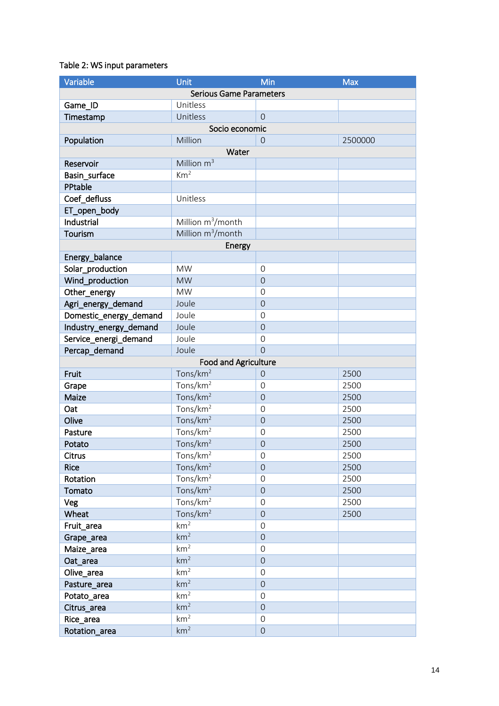#### <span id="page-13-0"></span>Table 2: WS input parameters

| Variable               | Unit                           | Min            | <b>Max</b> |
|------------------------|--------------------------------|----------------|------------|
|                        | <b>Serious Game Parameters</b> |                |            |
| Game_ID                | Unitless                       |                |            |
| Timestamp              | Unitless                       | $\overline{0}$ |            |
|                        | Socio economic                 |                |            |
| Population             | Million                        | $\Omega$       | 2500000    |
|                        | Water                          |                |            |
| Reservoir              | Million $m^3$                  |                |            |
| Basin_surface          | Km <sup>2</sup>                |                |            |
| PPtable                |                                |                |            |
| Coef_defluss           | Unitless                       |                |            |
| ET_open_body           |                                |                |            |
| Industrial             | Million $m^3/m$ onth           |                |            |
| Tourism                | Million m <sup>3</sup> /month  |                |            |
|                        | Energy                         |                |            |
| Energy_balance         |                                |                |            |
| Solar production       | <b>MW</b>                      | $\overline{0}$ |            |
| Wind_production        | <b>MW</b>                      | $\overline{0}$ |            |
| Other energy           | <b>MW</b>                      | $\mathbf 0$    |            |
|                        | Joule                          | $\overline{0}$ |            |
| Agri_energy_demand     | Joule                          |                |            |
| Domestic_energy_demand |                                | $\mathbf 0$    |            |
| Industry_energy_demand | Joule                          | $\overline{0}$ |            |
| Service_energi_demand  | Joule                          | $\mathbf 0$    |            |
| Percap_demand          | Joule                          | $\overline{0}$ |            |
|                        | <b>Food and Agriculture</b>    |                |            |
| Fruit                  | Tons/km <sup>2</sup>           | $\theta$       | 2500       |
| Grape                  | Tons/ $km^2$                   | $\mathbf 0$    | 2500       |
| Maize                  | Tons/km <sup>2</sup>           | $\overline{0}$ | 2500       |
| Oat                    | Tons/km <sup>2</sup>           | $\mathbf 0$    | 2500       |
| Olive                  | Tons/km <sup>2</sup>           | $\overline{0}$ | 2500       |
| Pasture                | Tons/ $km2$                    | $\mathbf 0$    | 2500       |
| Potato                 | Tons/ $km^2$                   | $\overline{0}$ | 2500       |
| Citrus                 | Tons/km <sup>2</sup>           | $\mathbf 0$    | 2500       |
| <b>Rice</b>            | Tons/km <sup>2</sup>           | $\mathbf 0$    | 2500       |
| Rotation               | Tons/ $km2$                    | $\mathbf 0$    | 2500       |
| Tomato                 | Tons/ $km2$                    | $\mathbf 0$    | 2500       |
| Veg                    | Tons/ $km^2$                   | $\mathbf 0$    | 2500       |
| Wheat                  | Tons/km <sup>2</sup>           | $\overline{0}$ | 2500       |
| Fruit_area             | km <sup>2</sup>                | $\mathbf 0$    |            |
| Grape_area             | km <sup>2</sup>                | $\mathbf 0$    |            |
| Maize_area             | km <sup>2</sup>                | $\mathbf 0$    |            |
| Oat_area               | km <sup>2</sup>                | $\mathbf 0$    |            |
| Olive_area             | km <sup>2</sup>                | $\mathbf 0$    |            |
| Pasture_area           | km <sup>2</sup>                | $\overline{0}$ |            |
| Potato_area            | km <sup>2</sup>                | $\mathbf 0$    |            |
| Citrus_area            | km <sup>2</sup>                | $\mathbf 0$    |            |
| Rice_area              | km <sup>2</sup>                | $\mathbf 0$    |            |
| Rotation_area          | km <sup>2</sup>                | $\mathbf 0$    |            |
|                        |                                |                |            |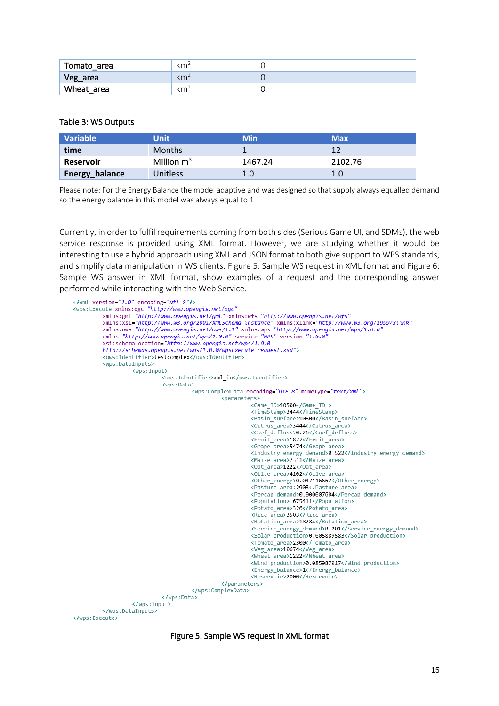| Tomato area | km <sup>2</sup> |  |
|-------------|-----------------|--|
| Veg_area    | km <sup>2</sup> |  |
| Wheat area  | km              |  |

#### <span id="page-14-0"></span>Table 3: WS Outputs

| Variable         | <b>Unit</b>   | Min     | <b>Max</b> |
|------------------|---------------|---------|------------|
| time             | <b>Months</b> |         | 12         |
| <b>Reservoir</b> | Million $m^3$ | 1467.24 | 2102.76    |
| Energy_balance   | Unitless      | 1.0     | 1.0        |

Please note: For the Energy Balance the model adaptive and was designed so that supply always equalled demand so the energy balance in this model was always equal to 1

Currently, in order to fulfil requirements coming from both sides (Serious Game UI, and SDMs), the web service response is provided using XML format. However, we are studying whether it would be interesting to use a hybrid approach using XML and JSON format to both give support to WPS standards, and simplify data manipulation in WS clients. [Figure 5: Sample WS request in XML format](#page-14-1) an[d Figure 6:](#page-15-1)  [Sample WS answer in XML format,](#page-15-1) show examples of a request and the corresponding answer performed while interacting with the Web Service.

<span id="page-14-1"></span>

Figure 5: Sample WS request in XML format